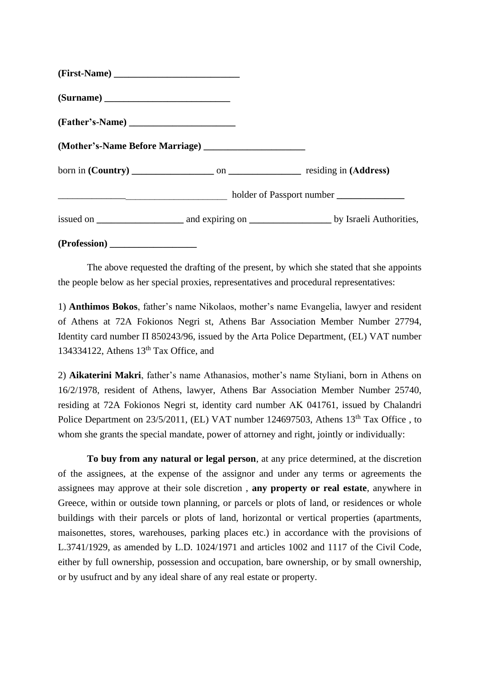| (Surname)           |  |
|---------------------|--|
|                     |  |
|                     |  |
|                     |  |
|                     |  |
|                     |  |
| (Profession) ______ |  |

The above requested the drafting of the present, by which she stated that she appoints the people below as her special proxies, representatives and procedural representatives:

1) **Anthimos Bokos**, father's name Nikolaos, mother's name Evangelia, lawyer and resident of Athens at 72A Fokionos Negri st, Athens Bar Association Member Number 27794, Identity card number Π 850243/96, issued by the Arta Police Department, (EL) VAT number 134334122, Athens  $13<sup>th</sup>$  Tax Office, and

2) **Aikaterini Makri**, father's name Athanasios, mother's name Styliani, born in Athens on 16/2/1978, resident of Athens, lawyer, Athens Bar Association Member Number 25740, residing at 72A Fokionos Negri st, identity card number ΑΚ 041761, issued by Chalandri Police Department on 23/5/2011, (EL) VAT number 124697503, Athens 13<sup>th</sup> Tax Office . to whom she grants the special mandate, power of attorney and right, jointly or individually:

**To buy from any natural or legal person**, at any price determined, at the discretion of the assignees, at the expense of the assignor and under any terms or agreements the assignees may approve at their sole discretion , **any property or real estate**, anywhere in Greece, within or outside town planning, or parcels or plots of land, or residences or whole buildings with their parcels or plots of land, horizontal or vertical properties (apartments, maisonettes, stores, warehouses, parking places etc.) in accordance with the provisions of L.3741/1929, as amended by L.D. 1024/1971 and articles 1002 and 1117 of the Civil Code, either by full ownership, possession and occupation, bare ownership, or by small ownership, or by usufruct and by any ideal share of any real estate or property.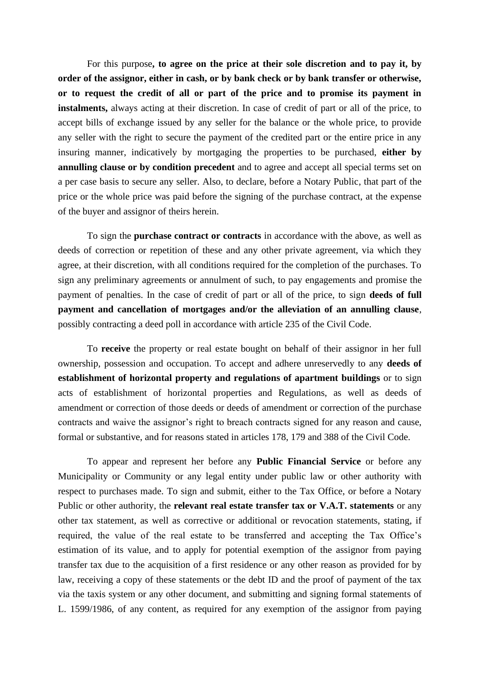For this purpose**, to agree on the price at their sole discretion and to pay it, by order of the assignor, either in cash, or by bank check or by bank transfer or otherwise, or to request the credit of all or part of the price and to promise its payment in instalments,** always acting at their discretion. In case of credit of part or all of the price, to accept bills of exchange issued by any seller for the balance or the whole price, to provide any seller with the right to secure the payment of the credited part or the entire price in any insuring manner, indicatively by mortgaging the properties to be purchased, **either by annulling clause or by condition precedent** and to agree and accept all special terms set on a per case basis to secure any seller. Also, to declare, before a Notary Public, that part of the price or the whole price was paid before the signing of the purchase contract, at the expense of the buyer and assignor of theirs herein.

To sign the **purchase contract or contracts** in accordance with the above, as well as deeds of correction or repetition of these and any other private agreement, via which they agree, at their discretion, with all conditions required for the completion of the purchases. To sign any preliminary agreements or annulment of such, to pay engagements and promise the payment of penalties. In the case of credit of part or all of the price, to sign **deeds of full payment and cancellation of mortgages and/or the alleviation of an annulling clause**, possibly contracting a deed poll in accordance with article 235 of the Civil Code.

To **receive** the property or real estate bought on behalf of their assignor in her full ownership, possession and occupation. To accept and adhere unreservedly to any **deeds of establishment of horizontal property and regulations of apartment buildings** or to sign acts of establishment of horizontal properties and Regulations, as well as deeds of amendment or correction of those deeds or deeds of amendment or correction of the purchase contracts and waive the assignor's right to breach contracts signed for any reason and cause, formal or substantive, and for reasons stated in articles 178, 179 and 388 of the Civil Code.

To appear and represent her before any **Public Financial Service** or before any Municipality or Community or any legal entity under public law or other authority with respect to purchases made. To sign and submit, either to the Tax Office, or before a Notary Public or other authority, the **relevant real estate transfer tax or V.A.T. statements** or any other tax statement, as well as corrective or additional or revocation statements, stating, if required, the value of the real estate to be transferred and accepting the Tax Office's estimation of its value, and to apply for potential exemption of the assignor from paying transfer tax due to the acquisition of a first residence or any other reason as provided for by law, receiving a copy of these statements or the debt ID and the proof of payment of the tax via the taxis system or any other document, and submitting and signing formal statements of L. 1599/1986, of any content, as required for any exemption of the assignor from paying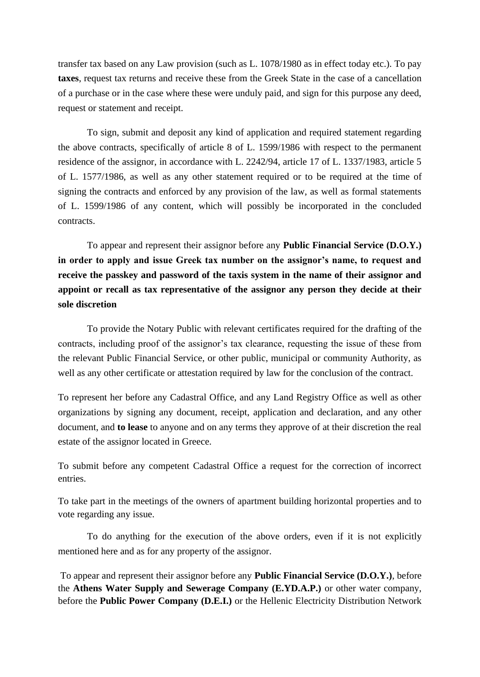transfer tax based on any Law provision (such as L. 1078/1980 as in effect today etc.). To pay **taxes**, request tax returns and receive these from the Greek State in the case of a cancellation of a purchase or in the case where these were unduly paid, and sign for this purpose any deed, request or statement and receipt.

To sign, submit and deposit any kind of application and required statement regarding the above contracts, specifically of article 8 of L. 1599/1986 with respect to the permanent residence of the assignor, in accordance with L. 2242/94, article 17 of L. 1337/1983, article 5 of L. 1577/1986, as well as any other statement required or to be required at the time of signing the contracts and enforced by any provision of the law, as well as formal statements of L. 1599/1986 of any content, which will possibly be incorporated in the concluded contracts.

To appear and represent their assignor before any **Public Financial Service (D.O.Y.) in order to apply and issue Greek tax number on the assignor's name, to request and**  receive the passkey and password of the taxis system in the name of their assignor and **appoint or recall as tax representative of the assignor any person they decide at their sole discretion**

To provide the Notary Public with relevant certificates required for the drafting of the contracts, including proof of the assignor's tax clearance, requesting the issue of these from the relevant Public Financial Service, or other public, municipal or community Authority, as well as any other certificate or attestation required by law for the conclusion of the contract.

To represent her before any Cadastral Office, and any Land Registry Office as well as other organizations by signing any document, receipt, application and declaration, and any other document, and **to lease** to anyone and on any terms they approve of at their discretion the real estate of the assignor located in Greece.

To submit before any competent Cadastral Office a request for the correction of incorrect entries.

To take part in the meetings of the owners of apartment building horizontal properties and to vote regarding any issue.

To do anything for the execution of the above orders, even if it is not explicitly mentioned here and as for any property of the assignor.

To appear and represent their assignor before any **Public Financial Service (D.O.Y.)**, before the **Athens Water Supply and Sewerage Company (E.YD.A.P.)** or other water company, before the **Public Power Company (D.E.I.)** or the Hellenic Electricity Distribution Network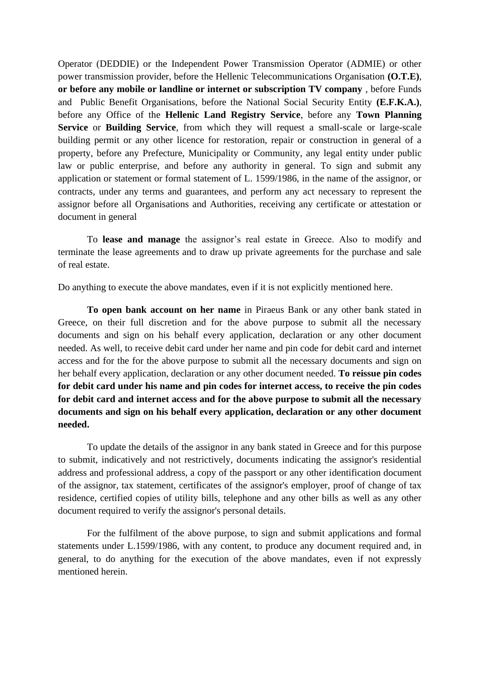Operator (DEDDIE) or the Independent Power Transmission Operator (ADMIE) or other power transmission provider, before the Hellenic Telecommunications Organisation **(O.T.E)**, **or before any mobile or landline or internet or subscription TV company** , before Funds and Public Benefit Organisations, before the National Social Security Entity **(E.F.K.A.)**, before any Office of the **Hellenic Land Registry Service**, before any **Town Planning Service** or **Building Service**, from which they will request a small-scale or large-scale building permit or any other licence for restoration, repair or construction in general of a property, before any Prefecture, Municipality or Community, any legal entity under public law or public enterprise, and before any authority in general. To sign and submit any application or statement or formal statement of L. 1599/1986, in the name of the assignor, or contracts, under any terms and guarantees, and perform any act necessary to represent the assignor before all Organisations and Authorities, receiving any certificate or attestation or document in general

 To **lease and manage** the assignor's real estate in Greece. Also to modify and terminate the lease agreements and to draw up private agreements for the purchase and sale of real estate.

Do anything to execute the above mandates, even if it is not explicitly mentioned here.

**To open bank account on her name** in Piraeus Bank or any other bank stated in Greece, on their full discretion and for the above purpose to submit all the necessary documents and sign on his behalf every application, declaration or any other document needed. As well, to receive debit card under her name and pin code for debit card and internet access and for the for the above purpose to submit all the necessary documents and sign on her behalf every application, declaration or any other document needed. **To reissue pin codes for debit card under his name and pin codes for internet access, to receive the pin codes for debit card and internet access and for the above purpose to submit all the necessary documents and sign on his behalf every application, declaration or any other document needed.**

To update the details of the assignor in any bank stated in Greece and for this purpose to submit, indicatively and not restrictively, documents indicating the assignor's residential address and professional address, a copy of the passport or any other identification document of the assignor, tax statement, certificates of the assignor's employer, proof of change of tax residence, certified copies of utility bills, telephone and any other bills as well as any other document required to verify the assignor's personal details.

For the fulfilment of the above purpose, to sign and submit applications and formal statements under L.1599/1986, with any content, to produce any document required and, in general, to do anything for the execution of the above mandates, even if not expressly mentioned herein.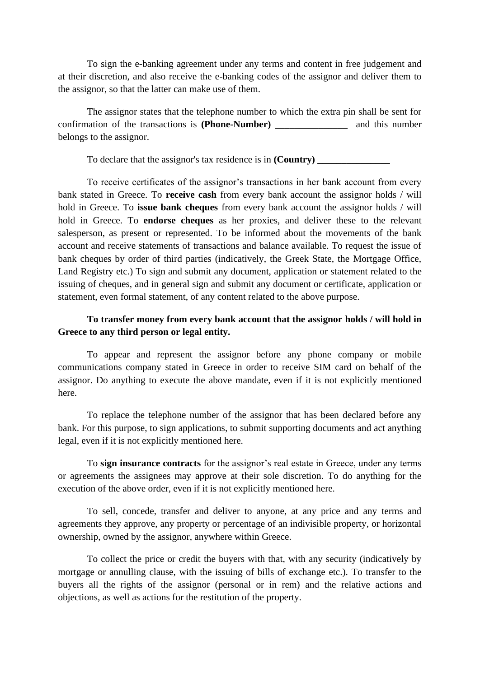To sign the e-banking agreement under any terms and content in free judgement and at their discretion, and also receive the e-banking codes of the assignor and deliver them to the assignor, so that the latter can make use of them.

The assignor states that the telephone number to which the extra pin shall be sent for confirmation of the transactions is **(Phone-Number) \_\_\_\_\_\_\_\_\_\_\_\_\_\_\_** and this number belongs to the assignor.

To declare that the assignor's tax residence is in **(Country) \_\_\_\_\_\_\_\_\_\_\_\_\_\_\_**

To receive certificates of the assignor's transactions in her bank account from every bank stated in Greece. To **receive cash** from every bank account the assignor holds / will hold in Greece. To **issue bank cheques** from every bank account the assignor holds / will hold in Greece. To **endorse cheques** as her proxies, and deliver these to the relevant salesperson, as present or represented. To be informed about the movements of the bank account and receive statements of transactions and balance available. To request the issue of bank cheques by order of third parties (indicatively, the Greek State, the Mortgage Office, Land Registry etc.) To sign and submit any document, application or statement related to the issuing of cheques, and in general sign and submit any document or certificate, application or statement, even formal statement, of any content related to the above purpose.

## **To transfer money from every bank account that the assignor holds / will hold in Greece to any third person or legal entity.**

To appear and represent the assignor before any phone company or mobile communications company stated in Greece in order to receive SIM card on behalf of the assignor. Do anything to execute the above mandate, even if it is not explicitly mentioned here.

To replace the telephone number of the assignor that has been declared before any bank. For this purpose, to sign applications, to submit supporting documents and act anything legal, even if it is not explicitly mentioned here.

To **sign insurance contracts** for the assignor's real estate in Greece, under any terms or agreements the assignees may approve at their sole discretion. To do anything for the execution of the above order, even if it is not explicitly mentioned here.

To sell, concede, transfer and deliver to anyone, at any price and any terms and agreements they approve, any property or percentage of an indivisible property, or horizontal ownership, owned by the assignor, anywhere within Greece.

To collect the price or credit the buyers with that, with any security (indicatively by mortgage or annulling clause, with the issuing of bills of exchange etc.). To transfer to the buyers all the rights of the assignor (personal or in rem) and the relative actions and objections, as well as actions for the restitution of the property.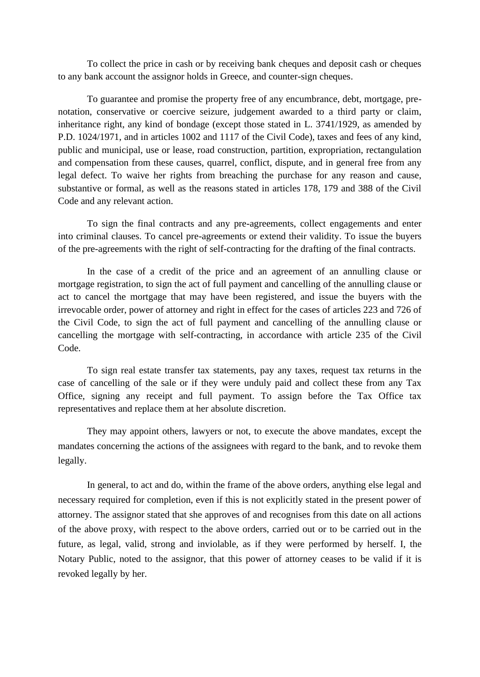To collect the price in cash or by receiving bank cheques and deposit cash or cheques to any bank account the assignor holds in Greece, and counter-sign cheques.

 To guarantee and promise the property free of any encumbrance, debt, mortgage, prenotation, conservative or coercive seizure, judgement awarded to a third party or claim, inheritance right, any kind of bondage (except those stated in L. 3741/1929, as amended by P.D. 1024/1971, and in articles 1002 and 1117 of the Civil Code), taxes and fees of any kind, public and municipal, use or lease, road construction, partition, expropriation, rectangulation and compensation from these causes, quarrel, conflict, dispute, and in general free from any legal defect. To waive her rights from breaching the purchase for any reason and cause, substantive or formal, as well as the reasons stated in articles 178, 179 and 388 of the Civil Code and any relevant action.

To sign the final contracts and any pre-agreements, collect engagements and enter into criminal clauses. To cancel pre-agreements or extend their validity. To issue the buyers of the pre-agreements with the right of self-contracting for the drafting of the final contracts.

In the case of a credit of the price and an agreement of an annulling clause or mortgage registration, to sign the act of full payment and cancelling of the annulling clause or act to cancel the mortgage that may have been registered, and issue the buyers with the irrevocable order, power of attorney and right in effect for the cases of articles 223 and 726 of the Civil Code, to sign the act of full payment and cancelling of the annulling clause or cancelling the mortgage with self-contracting, in accordance with article 235 of the Civil Code.

To sign real estate transfer tax statements, pay any taxes, request tax returns in the case of cancelling of the sale or if they were unduly paid and collect these from any Tax Office, signing any receipt and full payment. To assign before the Tax Office tax representatives and replace them at her absolute discretion.

They may appoint others, lawyers or not, to execute the above mandates, except the mandates concerning the actions of the assignees with regard to the bank, and to revoke them legally.

In general, to act and do, within the frame of the above orders, anything else legal and necessary required for completion, even if this is not explicitly stated in the present power of attorney. The assignor stated that she approves of and recognises from this date on all actions of the above proxy, with respect to the above orders, carried out or to be carried out in the future, as legal, valid, strong and inviolable, as if they were performed by herself. I, the Notary Public, noted to the assignor, that this power of attorney ceases to be valid if it is revoked legally by her.